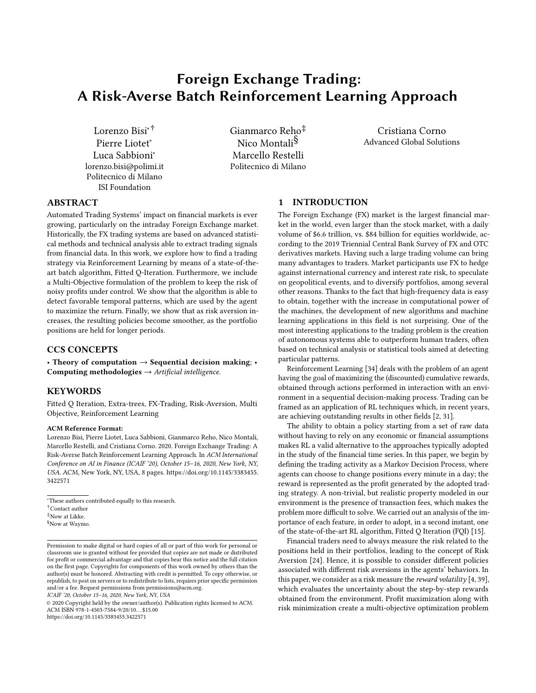# Foreign Exchange Trading: A Risk-Averse Batch Reinforcement Learning Approach

Lorenzo Bisi∗† Pierre Liotet<sup>∗</sup> Luca Sabbioni<sup>∗</sup> lorenzo.bisi@polimi.it Politecnico di Milano ISI Foundation

Gianmarco Reho‡ Nico Montaliğ Marcello Restelli Politecnico di Milano

Cristiana Corno Advanced Global Solutions

# ABSTRACT

Automated Trading Systems' impact on financial markets is ever growing, particularly on the intraday Foreign Exchange market. Historically, the FX trading systems are based on advanced statistical methods and technical analysis able to extract trading signals from financial data. In this work, we explore how to find a trading strategy via Reinforcement Learning by means of a state-of-theart batch algorithm, Fitted Q-Iteration. Furthermore, we include a Multi-Objective formulation of the problem to keep the risk of noisy profits under control. We show that the algorithm is able to detect favorable temporal patterns, which are used by the agent to maximize the return. Finally, we show that as risk aversion increases, the resulting policies become smoother, as the portfolio positions are held for longer periods.

#### CCS CONCEPTS

• Theory of computation  $\rightarrow$  Sequential decision making; • Computing methodologies  $\rightarrow$  Artificial intelligence.

# **KEYWORDS**

Fitted Q Iteration, Extra-trees, FX-Trading, Risk-Aversion, Multi Objective, Reinforcement Learning

#### ACM Reference Format:

Lorenzo Bisi, Pierre Liotet, Luca Sabbioni, Gianmarco Reho, Nico Montali, Marcello Restelli, and Cristiana Corno. 2020. Foreign Exchange Trading: A Risk-Averse Batch Reinforcement Learning Approach. In ACM International Conference on AI in Finance (ICAIF '20), October 15-16, 2020, New York, NY, USA. ACM, New York, NY, USA, [8](#page-7-0) pages. [https://doi.org/10.1145/3383455.](https://doi.org/10.1145/3383455.3422571) [3422571](https://doi.org/10.1145/3383455.3422571)

†Contact author

ICAIF '20, October 15-16, 2020, New York, NY, USA

# 1 INTRODUCTION

The Foreign Exchange (FX) market is the largest financial market in the world, even larger than the stock market, with a daily volume of \$6.6 trillion, vs. \$84 billion for equities worldwide, according to the 2019 Triennial Central Bank Survey of FX and OTC derivatives markets. Having such a large trading volume can bring many advantages to traders. Market participants use FX to hedge against international currency and interest rate risk, to speculate on geopolitical events, and to diversify portfolios, among several other reasons. Thanks to the fact that high-frequency data is easy to obtain, together with the increase in computational power of the machines, the development of new algorithms and machine learning applications in this field is not surprising. One of the most interesting applications to the trading problem is the creation of autonomous systems able to outperform human traders, often based on technical analysis or statistical tools aimed at detecting particular patterns.

Reinforcement Learning [\[34\]](#page-7-1) deals with the problem of an agent having the goal of maximizing the (discounted) cumulative rewards, obtained through actions performed in interaction with an environment in a sequential decision-making process. Trading can be framed as an application of RL techniques which, in recent years, are achieving outstanding results in other fields [\[2,](#page-7-2) [31\]](#page-7-3).

The ability to obtain a policy starting from a set of raw data without having to rely on any economic or financial assumptions makes RL a valid alternative to the approaches typically adopted in the study of the financial time series. In this paper, we begin by defining the trading activity as a Markov Decision Process, where agents can choose to change positions every minute in a day; the reward is represented as the profit generated by the adopted trading strategy. A non-trivial, but realistic property modeled in our environment is the presence of transaction fees, which makes the problem more difficult to solve. We carried out an analysis of the importance of each feature, in order to adopt, in a second instant, one of the state-of-the-art RL algorithm, Fitted Q Iteration (FQI) [\[15\]](#page-7-4).

Financial traders need to always measure the risk related to the positions held in their portfolios, leading to the concept of Risk Aversion [\[24\]](#page-7-5). Hence, it is possible to consider different policies associated with different risk aversions in the agents' behaviors. In this paper, we consider as a risk measure the *reward volatility* [\[4,](#page-7-6) [39\]](#page-7-7), which evaluates the uncertainty about the step-by-step rewards obtained from the environment. Profit maximization along with risk minimization create a multi-objective optimization problem

<sup>∗</sup>These authors contributed equally to this research.

<sup>‡</sup>Now at Likke.

<sup>ğ</sup>Now at Waymo.

Permission to make digital or hard copies of all or part of this work for personal or classroom use is granted without fee provided that copies are not made or distributed for profit or commercial advantage and that copies bear this notice and the full citation on the first page. Copyrights for components of this work owned by others than the author(s) must be honored. Abstracting with credit is permitted. To copy otherwise, or republish, to post on servers or to redistribute to lists, requires prior specific permission and/or a fee. Request permissions from permissions@acm.org.

<sup>©</sup> 2020 Copyright held by the owner/author(s). Publication rights licensed to ACM. ACM ISBN 978-1-4503-7584-9/20/10. . . \$15.00 <https://doi.org/10.1145/3383455.3422571>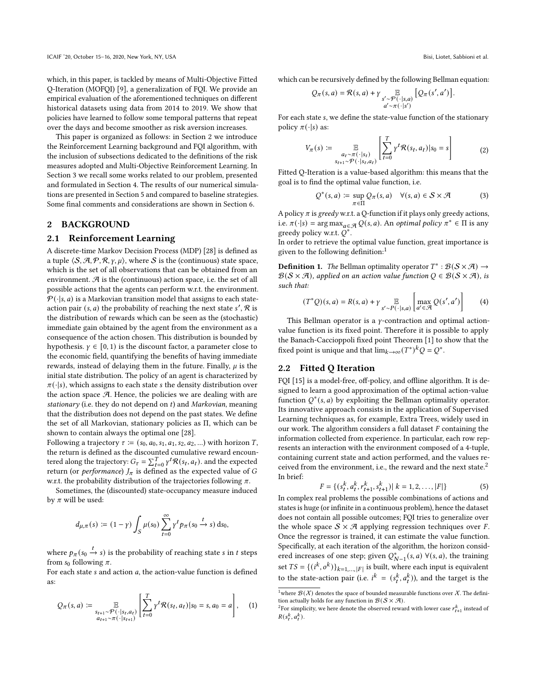which, in this paper, is tackled by means of Multi-Objective Fitted Q-Iteration (MOFQI) [\[9\]](#page-7-8), a generalization of FQI. We provide an empirical evaluation of the aforementioned techniques on different historical datasets using data from 2014 to 2019. We show that policies have learned to follow some temporal patterns that repeat over the days and become smoother as risk aversion increases.

This paper is organized as follows: in Section [2](#page-1-0) we introduce the Reinforcement Learning background and FQI algorithm, with the inclusion of subsections dedicated to the definitions of the risk measures adopted and Multi-Objective Reinforcement Learning. In Section [3](#page-3-0) we recall some works related to our problem, presented and formulated in Section [4.](#page-3-1) The results of our numerical simulations are presented in Section [5](#page-3-2) and compared to baseline strategies. Some final comments and considerations are shown in Section [6.](#page-6-0)

#### <span id="page-1-0"></span>2 BACKGROUND

# 2.1 Reinforcement Learning

A discrete-time Markov Decision Process (MDP) [\[28\]](#page-7-9) is defined as a tuple  $\langle S, A, P, R, \gamma, \mu \rangle$ , where S is the (continuous) state space, which is the set of all observations that can be obtained from an environment.  $\mathcal{A}$  is the (continuous) action space, i.e. the set of all possible actions that the agents can perform w.r.t. the environment.  $P(\cdot|s, a)$  is a Markovian transition model that assigns to each stateaction pair  $(s, a)$  the probability of reaching the next state  $s'$ ,  $R$  is the distribution of rewards which can be seen as the (stochastic) immediate gain obtained by the agent from the environment as a consequence of the action chosen. This distribution is bounded by hypothesis.  $\gamma \in [0, 1)$  is the discount factor, a parameter close to the economic field, quantifying the benefits of having immediate rewards, instead of delaying them in the future. Finally,  $\mu$  is the initial state distribution. The policy of an agent is characterized by  $\pi(\cdot|s)$ , which assigns to each state *s* the density distribution over the action space  $A$ . Hence, the policies we are dealing with are stationary (i.e. they do not depend on  $t$ ) and Markovian, meaning that the distribution does not depend on the past states. We define the set of all Markovian, stationary policies as Π, which can be shown to contain always the optimal one [\[28\]](#page-7-9).

Following a trajectory  $\tau := (s_0, a_0, s_1, a_1, s_2, a_2, ...)$  with horizon  $T$ , the return is defined as the discounted cumulative reward encountered along the trajectory:  $G_{\tau} = \sum_{t=0}^{T} \gamma^t \mathcal{R}(s_t, a_t)$ . and the expected return (or *performance*)  $J_{\pi}$  is defined as the expected value of G w.r.t. the probability distribution of the trajectories following  $\pi$ .

Sometimes, the (discounted) state-occupancy measure induced by  $\pi$  will be used:

$$
d_{\mu,\pi}(s) := (1 - \gamma) \int_{S} \mu(s_0) \sum_{t=0}^{\infty} \gamma^t p_{\pi}(s_0 \xrightarrow{t} s) ds_0,
$$

where  $p_{\pi}(s_0 \xrightarrow{t} s)$  is the probability of reaching state  $s$  in  $t$  steps from  $s_0$  following  $\pi$ .

For each state  $s$  and action  $a$ , the action-value function is defined as:

$$
Q_{\pi}(s, a) := \mathop{\mathbb{E}}_{\substack{s_{t+1} \sim \mathcal{P}(\cdot | s_t, a_t) \\ a_{t+1} \sim \pi(\cdot | s_{t+1})}} \left[ \sum_{t=0}^{T} \gamma^t \mathcal{R}(s_t, a_t) | s_0 = s, a_0 = a \right], \quad (1)
$$

.

which can be recursively defined by the following Bellman equation:

$$
Q_{\pi}(s, a) = \mathcal{R}(s, a) + \gamma \mathop{\mathbb{E}}_{\substack{s' \sim \mathcal{P}(\cdot | s, a) \\ a' \sim \pi(\cdot | s')}} \left[Q_{\pi}(s', a')\right]
$$

For each state s, we define the state-value function of the stationary policy  $\pi(\cdot|s)$  as:

$$
V_{\pi}(s) := \mathop{\mathbb{E}}_{\substack{a_t \sim \pi(\cdot | s_t) \\ s_{t+1} \sim \mathcal{P}(\cdot | s_t, a_t)}} \left[ \sum_{t=0}^T \gamma^t \mathcal{R}(s_t, a_t) | s_0 = s \right] \tag{2}
$$

Fitted Q-Iteration is a value-based algorithm: this means that the goal is to find the optimal value function, i.e.

$$
Q^*(s, a) := \sup_{\pi \in \Pi} Q_{\pi}(s, a) \quad \forall (s, a) \in S \times \mathcal{A}
$$
 (3)

A policy  $\pi$  is greedy w.r.t. a Q-function if it plays only greedy actions, i.e.  $\pi(\cdot|s) = \arg \max_{a \in \mathcal{A}} Q(s, a)$ . An optimal policy  $\pi^* \in \Pi$  is any greedy policy w.r.t.  $Q^*$ .

In order to retrieve the optimal value function, great importance is given to the following definition:[1](#page-1-1)

**Definition 1.** The Bellman optimality operator  $T^* : \mathcal{B}(\mathcal{S} \times \mathcal{A}) \rightarrow$  $B(S \times \mathcal{A})$ , applied on an action value function  $Q \in \mathcal{B}(S \times \mathcal{A})$ , is such that:

<span id="page-1-3"></span>
$$
(T^*Q)(s,a) = R(s,a) + \gamma \mathop{\mathbb{E}}_{s' \sim P(\cdot|s,a)} \left[ \max_{a' \in \mathcal{A}} Q(s',a') \right] \tag{4}
$$

This Bellman operator is a  $\gamma$ -contraction and optimal actionvalue function is its fixed point. Therefore it is possible to apply the Banach-Caccioppoli fixed point Theorem [\[1\]](#page-7-10) to show that the fixed point is unique and that  $\lim_{k\to\infty} (T^*)^k Q = Q^*$ .

## 2.2 Fitted Q Iteration

FQI [\[15\]](#page-7-4) is a model-free, off-policy, and offline algorithm. It is designed to learn a good approximation of the optimal action-value function  $Q^*(s, a)$  by exploiting the Bellman optimality operator. Its innovative approach consists in the application of Supervised Learning techniques as, for example, Extra Trees, widely used in our work. The algorithm considers a full dataset  $F$  containing the information collected from experience. In particular, each row represents an interaction with the environment composed of a 4-tuple, containing current state and action performed, and the values re-ceived from the environment, i.e., the reward and the next state.<sup>[2](#page-1-2)</sup> In brief:

<span id="page-1-4"></span>
$$
F = \{ (s_t^k, a_t^k, r_{t+1}^k, s_{t+1}^k) | k = 1, 2, ..., |F| \}
$$
 (5)

In complex real problems the possible combinations of actions and states is huge (or infinite in a continuous problem), hence the dataset does not contain all possible outcomes; FQI tries to generalize over the whole space  $S \times A$  applying regression techniques over *F*. Once the regressor is trained, it can estimate the value function. Specifically, at each iteration of the algorithm, the horizon considered increases of one step; given  $Q_{N-1}^*(s, a)$   $\forall (s, a)$ , the training set  $TS = \{(i^k, o^k)\}_{k=1,\dots,|F|}$  is built, where each input is equivalent to the state-action pair (i.e.  $i^k = (s_t^k, a_t^k)$ ), and the target is the

<span id="page-1-1"></span><sup>&</sup>lt;sup>1</sup>where  $\mathcal{B}(\mathcal{X})$  denotes the space of bounded measurable functions over  $\mathcal{X}$ . The definition actually holds for any function in  $\mathcal{B}(\mathcal{S} \times \mathcal{A})$ .

<span id="page-1-2"></span><sup>&</sup>lt;sup>2</sup>For simplicity, we here denote the observed reward with lower case  $r_{t+1}^k$  instead of  $R(s_t^k, a_t^k)$ .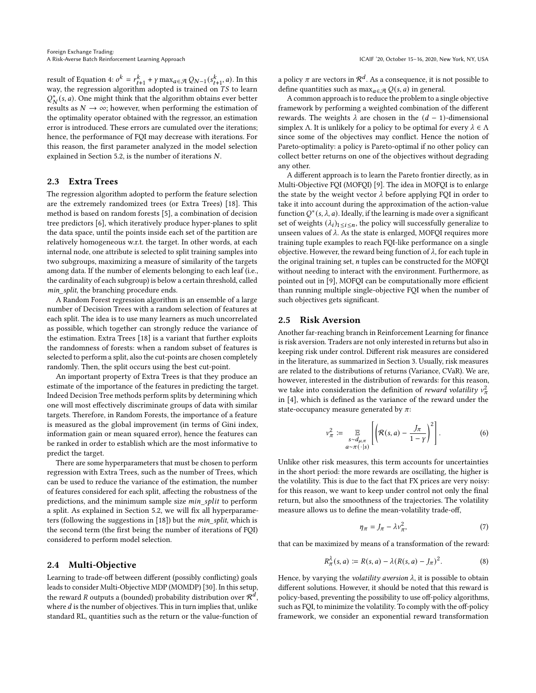result of Equation [4:](#page-1-3)  $o^k = r_{t+1}^k + \gamma \max_{a \in \mathcal{A}} Q_{N-1}(s_{t+1}^k, a)$ . In this way, the regression algorithm adopted is trained on  $TS$  to learn  $Q_N^*(s, a)$ . One might think that the algorithm obtains ever better results as  $N \to \infty$ ; however, when performing the estimation of the optimality operator obtained with the regressor, an estimation error is introduced. These errors are cumulated over the iterations; hence, the performance of FQI may decrease with iterations. For this reason, the first parameter analyzed in the model selection explained in Section [5.2,](#page-5-0) is the number of iterations  $N$ .

#### <span id="page-2-0"></span>2.3 Extra Trees

The regression algorithm adopted to perform the feature selection are the extremely randomized trees (or Extra Trees) [\[18\]](#page-7-11). This method is based on random forests [\[5\]](#page-7-12), a combination of decision tree predictors [\[6\]](#page-7-13), which iteratively produce hyper-planes to split the data space, until the points inside each set of the partition are relatively homogeneous w.r.t. the target. In other words, at each internal node, one attribute is selected to split training samples into two subgroups, maximizing a measure of similarity of the targets among data. If the number of elements belonging to each leaf (i.e., the cardinality of each subgroup) is below a certain threshold, called min\_split, the branching procedure ends.

A Random Forest regression algorithm is an ensemble of a large number of Decision Trees with a random selection of features at each split. The idea is to use many learners as much uncorrelated as possible, which together can strongly reduce the variance of the estimation. Extra Trees [\[18\]](#page-7-11) is a variant that further exploits the randomness of forests: when a random subset of features is selected to perform a split, also the cut-points are chosen completely randomly. Then, the split occurs using the best cut-point.

An important property of Extra Trees is that they produce an estimate of the importance of the features in predicting the target. Indeed Decision Tree methods perform splits by determining which one will most effectively discriminate groups of data with similar targets. Therefore, in Random Forests, the importance of a feature is measured as the global improvement (in terms of Gini index, information gain or mean squared error), hence the features can be ranked in order to establish which are the most informative to predict the target.

There are some hyperparameters that must be chosen to perform regression with Extra Trees, such as the number of Trees, which can be used to reduce the variance of the estimation, the number of features considered for each split, affecting the robustness of the predictions, and the minimum sample size min\_split to perform a split. As explained in Section [5.2,](#page-5-0) we will fix all hyperparameters (following the suggestions in [\[18\]](#page-7-11)) but the min\_split, which is the second term (the first being the number of iterations of FQI) considered to perform model selection.

#### 2.4 Multi-Objective

Learning to trade-off between different (possibly conflicting) goals leads to consider Multi-Objective MDP (MOMDP) [\[30\]](#page-7-14). In this setup, the reward  $R$  outputs a (bounded) probability distribution over  $\mathcal{R}^d$  , where  $d$  is the number of objectives. This in turn implies that, unlike standard RL, quantities such as the return or the value-function of

a policy  $\pi$  are vectors in  $\mathcal{R}^d$ . As a consequence, it is not possible to define quantities such as  $\max_{a \in \mathcal{A}} Q(s, a)$  in general.

A common approach is to reduce the problem to a single objective framework by performing a weighted combination of the different rewards. The weights  $\lambda$  are chosen in the  $(d - 1)$ -dimensional simplex Λ. It is unlikely for a policy to be optimal for every  $\lambda \in \Lambda$ since some of the objectives may conflict. Hence the notion of Pareto-optimality: a policy is Pareto-optimal if no other policy can collect better returns on one of the objectives without degrading any other.

A different approach is to learn the Pareto frontier directly, as in Multi-Objective FQI (MOFQI) [\[9\]](#page-7-8). The idea in MOFQI is to enlarge the state by the weight vector  $\lambda$  before applying FQI in order to take it into account during the approximation of the action-value function  $Q^*(s, \lambda, a)$ . Ideally, if the learning is made over a significant set of weights  $(\lambda_i)_{1 \leq i \leq n}$ , the policy will successfully generalize to unseen values of  $\lambda$ . As the state is enlarged, MOFQI requires more training tuple examples to reach FQI-like performance on a single objective. However, the reward being function of  $\lambda$ , for each tuple in the original training set,  $n$  tuples can be constructed for the MOFQI without needing to interact with the environment. Furthermore, as pointed out in [\[9\]](#page-7-8), MOFQI can be computationally more efficient than running multiple single-objective FQI when the number of such objectives gets significant.

#### 2.5 Risk Aversion

Another far-reaching branch in Reinforcement Learning for finance is risk aversion. Traders are not only interested in returns but also in keeping risk under control. Different risk measures are considered in the literature, as summarized in Section [3.](#page-3-0) Usually, risk measures are related to the distributions of returns (Variance, CVaR). We are, however, interested in the distribution of rewards: for this reason, we take into consideration the definition of *reward volatility*  $v_{\pi}^2$ in [\[4\]](#page-7-6), which is defined as the variance of the reward under the state-occupancy measure generated by  $\pi$ :

$$
v_{\pi}^{2} := \mathop{\mathbb{E}}_{\substack{s \sim d_{\mu,\pi} \\ a \sim \pi(\cdot \mid s)}} \left[ \left( \mathcal{R}(s, a) - \frac{J_{\pi}}{1 - \gamma} \right)^{2} \right]. \tag{6}
$$

Unlike other risk measures, this term accounts for uncertainties in the short period: the more rewards are oscillating, the higher is the volatility. This is due to the fact that FX prices are very noisy: for this reason, we want to keep under control not only the final return, but also the smoothness of the trajectories. The volatility measure allows us to define the mean-volatility trade-off,

$$
\eta_{\pi} = J_{\pi} - \lambda v_{\pi}^2,\tag{7}
$$

that can be maximized by means of a transformation of the reward:

$$
R_{\pi}^{\lambda}(s, a) \coloneqq R(s, a) - \lambda (R(s, a) - J_{\pi})^2. \tag{8}
$$

Hence, by varying the volatility aversion  $\lambda$ , it is possible to obtain different solutions. However, it should be noted that this reward is policy-based, preventing the possibility to use off-policy algorithms, such as FQI, to minimize the volatility. To comply with the off-policy framework, we consider an exponential reward transformation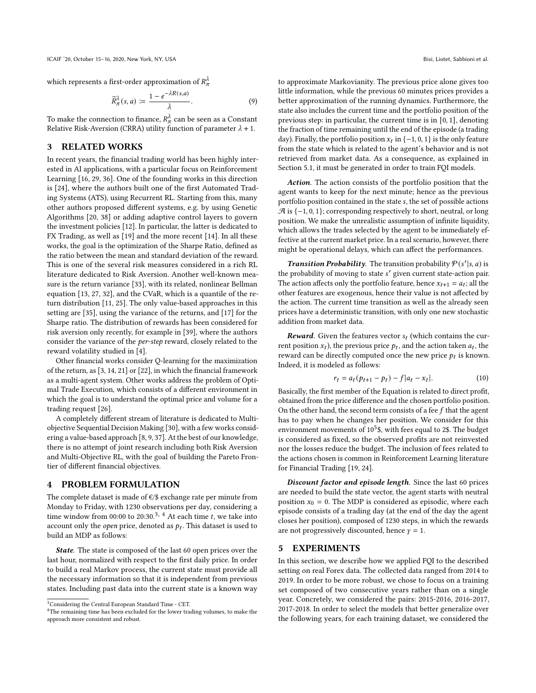which represents a first-order approximation of  $R^\lambda_\pi$ 

<span id="page-3-5"></span>
$$
\widetilde{R}_{\pi}^{\lambda}(s, a) := \frac{1 - e^{-\lambda R(s, a)}}{\lambda}.
$$
 (9)

To make the connection to finance,  $R^{\lambda}_{\pi}$  can be seen as a Constant Relative Risk-Aversion (CRRA) utility function of parameter  $\lambda + 1$ .

#### <span id="page-3-0"></span>3 RELATED WORKS

In recent years, the financial trading world has been highly interested in AI applications, with a particular focus on Reinforcement Learning [\[16,](#page-7-15) [29,](#page-7-16) [36\]](#page-7-17). One of the founding works in this direction is [\[24\]](#page-7-5), where the authors built one of the first Automated Trading Systems (ATS), using Recurrent RL. Starting from this, many other authors proposed different systems, e.g. by using Genetic Algorithms [\[20,](#page-7-18) [38\]](#page-7-19) or adding adaptive control layers to govern the investment policies [\[12\]](#page-7-20). In particular, the latter is dedicated to FX Trading, as well as [\[19\]](#page-7-21) and the more recent [\[14\]](#page-7-22). In all these works, the goal is the optimization of the Sharpe Ratio, defined as the ratio between the mean and standard deviation of the reward. This is one of the several risk measures considered in a rich RL literature dedicated to Risk Aversion. Another well-known measure is the return variance [\[33\]](#page-7-23), with its related, nonlinear Bellman equation [\[13,](#page-7-24) [27,](#page-7-25) [32\]](#page-7-26), and the CVaR, which is a quantile of the return distribution [\[11,](#page-7-27) [25\]](#page-7-28). The only value-based approaches in this setting are [\[35\]](#page-7-29), using the variance of the returns, and [\[17\]](#page-7-30) for the Sharpe ratio. The distribution of rewards has been considered for risk aversion only recently, for example in [\[39\]](#page-7-7), where the authors consider the variance of the per-step reward, closely related to the reward volatility studied in [\[4\]](#page-7-6).

Other financial works consider Q-learning for the maximization of the return, as [\[3,](#page-7-31) [14,](#page-7-22) [21\]](#page-7-32) or [\[22\]](#page-7-33), in which the financial framework as a multi-agent system. Other works address the problem of Optimal Trade Execution, which consists of a different environment in which the goal is to understand the optimal price and volume for a trading request [\[26\]](#page-7-34).

A completely different stream of literature is dedicated to Multiobjective Sequential Decision Making [\[30\]](#page-7-14), with a few works considering a value-based approach [\[8,](#page-7-35) [9,](#page-7-8) [37\]](#page-7-36). At the best of our knowledge, there is no attempt of joint research including both Risk Aversion and Multi-Objective RL, with the goal of building the Pareto Frontier of different financial objectives.

## <span id="page-3-1"></span>4 PROBLEM FORMULATION

The complete dataset is made of  $\epsilon$ /\$ exchange rate per minute from Monday to Friday, with 1230 observations per day, considering a time window from 00:00 to 20:[3](#page-3-3)0.<sup>3, [4](#page-3-4)</sup> At each time  $t$ , we take into account only the *open* price, denoted as  $p_t$ . This dataset is used to build an MDP as follows:

State. The state is composed of the last 60 open prices over the last hour, normalized with respect to the first daily price. In order to build a real Markov process, the current state must provide all the necessary information so that it is independent from previous states. Including past data into the current state is a known way to approximate Markovianity. The previous price alone gives too little information, while the previous 60 minutes prices provides a better approximation of the running dynamics. Furthermore, the state also includes the current time and the portfolio position of the previous step: in particular, the current time is in [0, 1], denoting the fraction of time remaining until the end of the episode (a trading day). Finally, the portfolio position  $x_t$  in {−1, 0, 1} is the only feature from the state which is related to the agent's behavior and is not retrieved from market data. As a consequence, as explained in Section [5.1,](#page-4-0) it must be generated in order to train FQI models.

Action. The action consists of the portfolio position that the agent wants to keep for the next minute; hence as the previous portfolio position contained in the state s, the set of possible actions  $\mathcal A$  is {-1, 0, 1}; corresponding respectively to short, neutral, or long position. We make the unrealistic assumption of infinite liquidity, which allows the trades selected by the agent to be immediately effective at the current market price. In a real scenario, however, there might be operational delays, which can affect the performances.

**Transition Probability**. The transition probability  $P(s'|s, a)$  is the probability of moving to state s' given current state-action pair. The action affects only the portfolio feature, hence  $x_{t+1} = a_t$ ; all the other features are exogenous, hence their value is not affected by the action. The current time transition as well as the already seen prices have a deterministic transition, with only one new stochastic addition from market data.

**Reward**. Given the features vector  $s_t$  (which contains the current position  $x_t$ ), the previous price  $p_t$ , and the action taken  $a_t$ , the reward can be directly computed once the new price  $p_t$  is known. Indeed, it is modeled as follows:

$$
r_t = a_t(p_{t+1} - p_t) - f|a_t - x_t|.
$$
 (10)

Basically, the first member of the Equation is related to direct profit, obtained from the price difference and the chosen portfolio position. On the other hand, the second term consists of a fee  $f$  that the agent has to pay when he changes her position. We consider for this environment movements of  $10<sup>5</sup>$ \$, with fees equal to 2\$. The budget is considered as fixed, so the observed profits are not reinvested nor the losses reduce the budget. The inclusion of fees related to the actions chosen is common in Reinforcement Learning literature for Financial Trading [\[19,](#page-7-21) [24\]](#page-7-5).

Discount factor and episode length. Since the last 60 prices are needed to build the state vector, the agent starts with neutral position  $x_0 = 0$ . The MDP is considered as episodic, where each episode consists of a trading day (at the end of the day the agent closes her position), composed of 1230 steps, in which the rewards are not progressively discounted, hence  $\gamma = 1$ .

# <span id="page-3-2"></span>5 EXPERIMENTS

In this section, we describe how we applied FQI to the described setting on real Forex data. The collected data ranged from 2014 to 2019. In order to be more robust, we chose to focus on a training set composed of two consecutive years rather than on a single year. Concretely, we considered the pairs: 2015-2016, 2016-2017, 2017-2018. In order to select the models that better generalize over the following years, for each training dataset, we considered the

<span id="page-3-3"></span><sup>3</sup>Considering the Central European Standard Time - CET.

<span id="page-3-4"></span><sup>&</sup>lt;sup>4</sup>The remaining time has been excluded for the lower trading volumes, to make the approach more consistent and robust.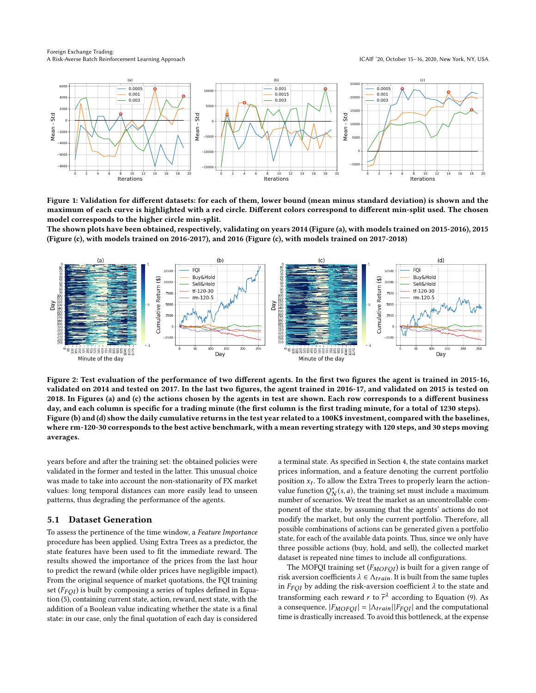Foreign Exchange Trading: A Risk-Averse Batch Reinforcement Learning Approach ICAIF '20, October 15–16, 2020, New York, NY, USA

<span id="page-4-1"></span>

Figure 1: Validation for different datasets: for each of them, lower bound (mean minus standard deviation) is shown and the maximum of each curve is highlighted with a red circle. Different colors correspond to different min-split used. The chosen model corresponds to the higher circle min-split.

The shown plots have been obtained, respectively, validating on years 2014 (Figure (a), with models trained on 2015-2016), 2015 (Figure (c), with models trained on 2016-2017), and 2016 (Figure (c), with models trained on 2017-2018)

<span id="page-4-2"></span>

Figure 2: Test evaluation of the performance of two different agents. In the first two figures the agent is trained in 2015-16, validated on 2014 and tested on 2017. In the last two figures, the agent trained in 2016-17, and validated on 2015 is tested on 2018. In Figures (a) and (c) the actions chosen by the agents in test are shown. Each row corresponds to a different business day, and each column is specific for a trading minute (the first column is the first trading minute, for a total of 1230 steps). Figure (b) and (d) show the daily cumulative returns in the test year related to a 100K\$ investment, compared with the baselines, where rm-120-30 corresponds to the best active benchmark, with a mean reverting strategy with 120 steps, and 30 steps moving averages.

years before and after the training set: the obtained policies were validated in the former and tested in the latter. This unusual choice was made to take into account the non-stationarity of FX market values: long temporal distances can more easily lead to unseen patterns, thus degrading the performance of the agents.

#### <span id="page-4-0"></span>5.1 Dataset Generation

To assess the pertinence of the time window, a Feature Importance procedure has been applied. Using Extra Trees as a predictor, the state features have been used to fit the immediate reward. The results showed the importance of the prices from the last hour to predict the reward (while older prices have negligible impact). From the original sequence of market quotations, the FQI training set ( $F_{FOI}$ ) is built by composing a series of tuples defined in Equation [\(5\)](#page-1-4), containing current state, action, reward, next state, with the addition of a Boolean value indicating whether the state is a final state: in our case, only the final quotation of each day is considered

a terminal state. As specified in Section [4,](#page-3-1) the state contains market prices information, and a feature denoting the current portfolio position  $x_t$ . To allow the Extra Trees to properly learn the actionvalue function  $Q_N^*(s, a)$ , the training set must include a maximum number of scenarios. We treat the market as an uncontrollable component of the state, by assuming that the agents' actions do not modify the market, but only the current portfolio. Therefore, all possible combinations of actions can be generated given a portfolio state, for each of the available data points. Thus, since we only have three possible actions (buy, hold, and sell), the collected market dataset is repeated nine times to include all configurations.

The MOFQI training set  $(F_{MOFOI})$  is built for a given range of risk aversion coefficients  $\lambda \in \Lambda_{train}$ . It is built from the same tuples in  $F_{FOI}$  by adding the risk-aversion coefficient  $\lambda$  to the state and transforming each reward r to  $\vec{r}^{\lambda}$  according to Equation [\(9\)](#page-3-5). As a consequence,  $|F_{MOFOI}| = |\Lambda_{train}| |F_{FOI}|$  and the computational time is drastically increased. To avoid this bottleneck, at the expense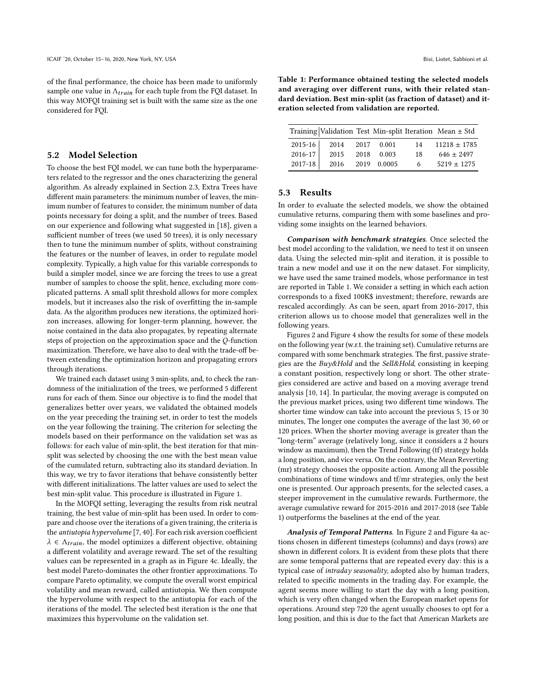of the final performance, the choice has been made to uniformly sample one value in  $\Lambda_{train}$  for each tuple from the FQI dataset. In this way MOFQI training set is built with the same size as the one considered for FQI.

#### <span id="page-5-0"></span>5.2 Model Selection

To choose the best FQI model, we can tune both the hyperparameters related to the regressor and the ones characterizing the general algorithm. As already explained in Section [2.3,](#page-2-0) Extra Trees have different main parameters: the minimum number of leaves, the minimum number of features to consider, the minimum number of data points necessary for doing a split, and the number of trees. Based on our experience and following what suggested in [\[18\]](#page-7-11), given a sufficient number of trees (we used 50 trees), it is only necessary then to tune the minimum number of splits, without constraining the features or the number of leaves, in order to regulate model complexity. Typically, a high value for this variable corresponds to build a simpler model, since we are forcing the trees to use a great number of samples to choose the split, hence, excluding more complicated patterns. A small split threshold allows for more complex models, but it increases also the risk of overfitting the in-sample data. As the algorithm produces new iterations, the optimized horizon increases, allowing for longer-term planning, however, the noise contained in the data also propagates, by repeating alternate steps of projection on the approximation space and the  $Q$ -function maximization. Therefore, we have also to deal with the trade-off between extending the optimization horizon and propagating errors through iterations.

We trained each dataset using 3 min-splits, and, to check the randomness of the initialization of the trees, we performed 5 different runs for each of them. Since our objective is to find the model that generalizes better over years, we validated the obtained models on the year preceding the training set, in order to test the models on the year following the training. The criterion for selecting the models based on their performance on the validation set was as follows: for each value of min-split, the best iteration for that minsplit was selected by choosing the one with the best mean value of the cumulated return, subtracting also its standard deviation. In this way, we try to favor iterations that behave consistently better with different initializations. The latter values are used to select the best min-split value. This procedure is illustrated in Figure [1.](#page-4-1)

In the MOFQI setting, leveraging the results from risk neutral training, the best value of min-split has been used. In order to compare and choose over the iterations of a given training, the criteria is the antiutopia hypervolume [\[7,](#page-7-37) [40\]](#page-7-38). For each risk aversion coefficient  $\lambda \in \Lambda_{train}$ , the model optimizes a different objective, obtaining a different volatility and average reward. The set of the resulting values can be represented in a graph as in Figure [4c](#page-6-1). Ideally, the best model Pareto-dominates the other frontier approximations. To compare Pareto optimality, we compute the overall worst empirical volatility and mean reward, called antiutopia. We then compute the hypervolume with respect to the antiutopia for each of the iterations of the model. The selected best iteration is the one that maximizes this hypervolume on the validation set.

<span id="page-5-1"></span>Table 1: Performance obtained testing the selected models and averaging over different runs, with their related standard deviation. Best min-split (as fraction of dataset) and iteration selected from validation are reported.

|             |      |      |             |    | Training Validation Test Min-split Iteration Mean $\pm$ Std |
|-------------|------|------|-------------|----|-------------------------------------------------------------|
| $2015 - 16$ | 2014 | 2017 | 0.001       | 14 | $11218 \pm 1785$                                            |
| 2016-17     | 2015 | 2018 | 0.003       | 18 | $646 \pm 2497$                                              |
| $2017 - 18$ | 2016 |      | 2019 0.0005 | 6  | $5219 \pm 1275$                                             |

# 5.3 Results

In order to evaluate the selected models, we show the obtained cumulative returns, comparing them with some baselines and providing some insights on the learned behaviors.

Comparison with benchmark strategies. Once selected the best model according to the validation, we need to test it on unseen data. Using the selected min-split and iteration, it is possible to train a new model and use it on the new dataset. For simplicity, we have used the same trained models, whose performance in test are reported in Table [1.](#page-5-1) We consider a setting in which each action corresponds to a fixed 100K\$ investment; therefore, rewards are rescaled accordingly. As can be seen, apart from 2016-2017, this criterion allows us to choose model that generalizes well in the following years.

Figures [2](#page-4-2) and Figure [4](#page-6-1) show the results for some of these models on the following year (w.r.t. the training set). Cumulative returns are compared with some benchmark strategies. The first, passive strategies are the Buy&Hold and the Sell&Hold, consisting in keeping a constant position, respectively long or short. The other strategies considered are active and based on a moving average trend analysis [\[10,](#page-7-39) [14\]](#page-7-22). In particular, the moving average is computed on the previous market prices, using two different time windows. The shorter time window can take into account the previous 5, 15 or 30 minutes, The longer one computes the average of the last 30, 60 or 120 prices. When the shorter moving average is greater than the "long-termž average (relatively long, since it considers a 2 hours window as maximum), then the Trend Following (tf) strategy holds a long position, and vice versa. On the contrary, the Mean Reverting (mr) strategy chooses the opposite action. Among all the possible combinations of time windows and tf/mr strategies, only the best one is presented. Our approach presents, for the selected cases, a steeper improvement in the cumulative rewards. Furthermore, the average cumulative reward for 2015-2016 and 2017-2018 (see Table [1\)](#page-5-1) outperforms the baselines at the end of the year.

Analysis of Temporal Patterns. In Figure [2](#page-4-2) and Figure [4a](#page-6-1) actions chosen in different timesteps (columns) and days (rows) are shown in different colors. It is evident from these plots that there are some temporal patterns that are repeated every day: this is a typical case of intraday seasonality, adopted also by human traders, related to specific moments in the trading day. For example, the agent seems more willing to start the day with a long position, which is very often changed when the European market opens for operations. Around step 720 the agent usually chooses to opt for a long position, and this is due to the fact that American Markets are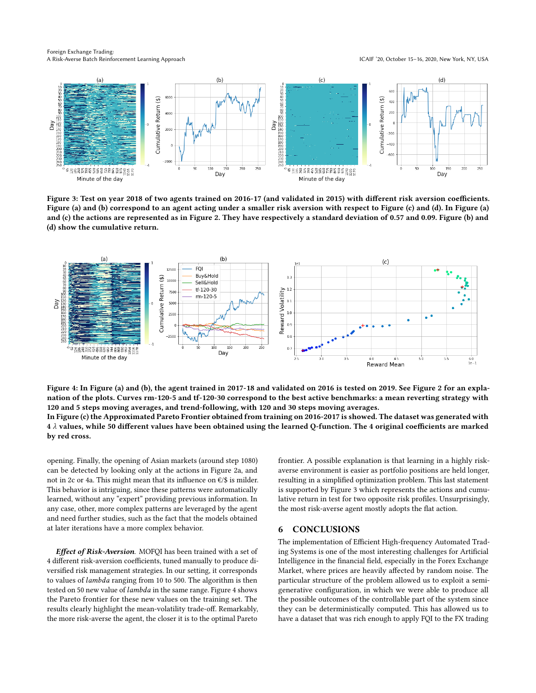Foreign Exchange Trading: A Risk-Averse Batch Reinforcement Learning Approach ICAIF '20, October 15–16, 2020, New York, NY, USA

<span id="page-6-2"></span>

Figure 3: Test on year 2018 of two agents trained on 2016-17 (and validated in 2015) with different risk aversion coefficients. Figure (a) and (b) correspond to an agent acting under a smaller risk aversion with respect to Figure (c) and (d). In Figure (a) and (c) the actions are represented as in Figure [2.](#page-4-2) They have respectively a standard deviation of 0.57 and 0.09. Figure (b) and (d) show the cumulative return.

<span id="page-6-1"></span>

Figure 4: In Figure (a) and (b), the agent trained in 2017-18 and validated on 2016 is tested on 2019. See Figure [2](#page-4-2) for an explanation of the plots. Curves rm-120-5 and tf-120-30 correspond to the best active benchmarks: a mean reverting strategy with 120 and 5 steps moving averages, and trend-following, with 120 and 30 steps moving averages. In Figure (c) the Approximated Pareto Frontier obtained from training on 2016-2017 is showed. The dataset was generated with  $4\,\lambda$  values, while 50 different values have been obtained using the learned Q-function. The 4 original coefficients are marked by red cross.

opening. Finally, the opening of Asian markets (around step 1080) can be detected by looking only at the actions in Figure [2a](#page-4-2), and not in [2c](#page-4-2) or [4a](#page-6-1). This might mean that its influence on  $\epsilon$ /\$ is milder. This behavior is intriguing, since these patterns were automatically learned, without any "expert" providing previous information. In any case, other, more complex patterns are leveraged by the agent and need further studies, such as the fact that the models obtained at later iterations have a more complex behavior.

Effect of Risk-Aversion. MOFQI has been trained with a set of 4 different risk-aversion coefficients, tuned manually to produce diversified risk management strategies. In our setting, it corresponds to values of *lambda* ranging from 10 to 500. The algorithm is then tested on 50 new value of lambda in the same range. Figure [4](#page-6-1) shows the Pareto frontier for these new values on the training set. The results clearly highlight the mean-volatility trade-off. Remarkably, the more risk-averse the agent, the closer it is to the optimal Pareto

frontier. A possible explanation is that learning in a highly riskaverse environment is easier as portfolio positions are held longer, resulting in a simplified optimization problem. This last statement is supported by Figure [3](#page-6-2) which represents the actions and cumulative return in test for two opposite risk profiles. Unsurprisingly, the most risk-averse agent mostly adopts the flat action.

## <span id="page-6-0"></span>6 CONCLUSIONS

The implementation of Efficient High-frequency Automated Trading Systems is one of the most interesting challenges for Artificial Intelligence in the financial field, especially in the Forex Exchange Market, where prices are heavily affected by random noise. The particular structure of the problem allowed us to exploit a semigenerative configuration, in which we were able to produce all the possible outcomes of the controllable part of the system since they can be deterministically computed. This has allowed us to have a dataset that was rich enough to apply FQI to the FX trading